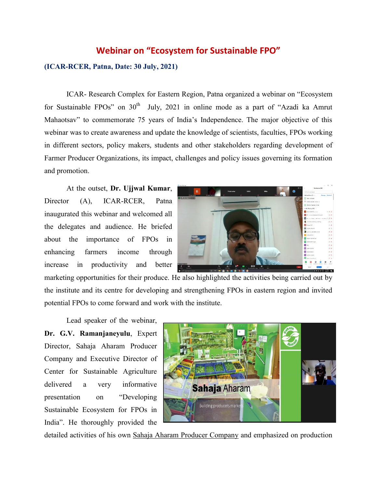## **Webinar on "Ecosystem for Sustainable FPO"**

## **(ICAR-RCER, Patna, Date: 30 July, 2021)**

ICAR- Research Complex for Eastern Region, Patna organized a webinar on "Ecosystem for Sustainable FPOs" on  $30<sup>th</sup>$  July, 2021 in online mode as a part of "Azadi ka Amrut Mahaotsav" to commemorate 75 years of India's Independence. The major objective of this webinar was to create awareness and update the knowledge of scientists, faculties, FPOs working in different sectors, policy makers, students and other stakeholders regarding development of Farmer Producer Organizations, its impact, challenges and policy issues governing its formation and promotion.

At the outset, **Dr. Ujjwal Kumar**, Director (A), ICAR-RCER, Patna inaugurated this webinar and welcomed all the delegates and audience. He briefed about the importance of FPOs in enhancing farmers income through increase in productivity and better



marketing opportunities for their produce. He also highlighted the activities being carried out by the institute and its centre for developing and strengthening FPOs in eastern region and invited potential FPOs to come forward and work with the institute.

Lead speaker of the webinar, **Dr. G.V. Ramanjaneyulu**, Expert Director, Sahaja Aharam Producer Company and Executive Director of Center for Sustainable Agriculture delivered a very informative presentation on "Developing Sustainable Ecosystem for FPOs in India". He thoroughly provided the



detailed activities of his own Sahaja Aharam Producer Company and emphasized on production